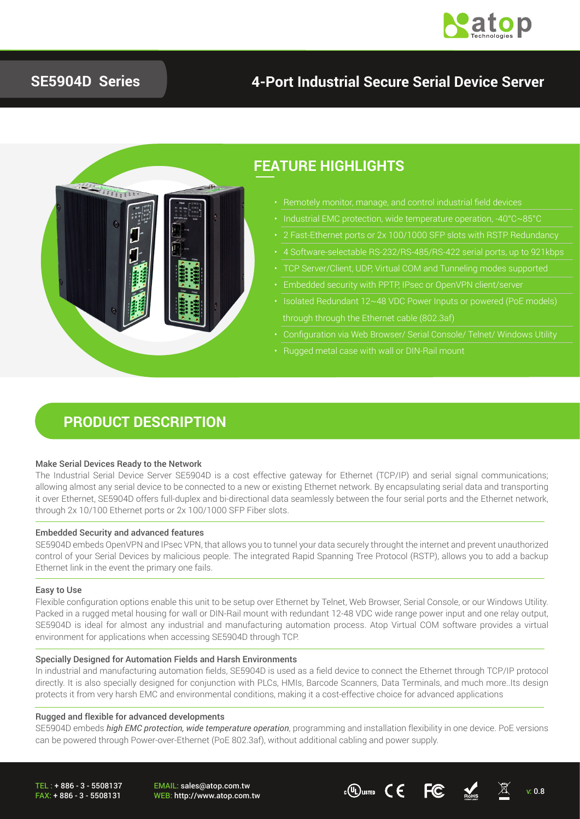

## **SE5904D Series**

## **4-Port Industrial Secure Serial Device Server**



### **FEATURE HIGHLIGHTS**

- Remotely monitor, manage, and control industrial field devices
	-
	-
	-
	- TCP Server/Client, UDP, Virtual COM and Tunneling modes supported
	-
- through through the Ethernet cable (802.3af)
- 
- Rugged metal case with wall or DIN-Rail mount

### **PRODUCT DESCRIPTION**

#### Make Serial Devices Ready to the Network

The Industrial Serial Device Server SE5904D is a cost effective gateway for Ethernet (TCP/IP) and serial signal communications; allowing almost any serial device to be connected to a new or existing Ethernet network. By encapsulating serial data and transporting it over Ethernet, SE5904D offers full-duplex and bi-directional data seamlessly between the four serial ports and the Ethernet network, through 2x 10/100 Ethernet ports or 2x 100/1000 SFP Fiber slots.

#### Embedded Security and advanced features

SE5904D embeds OpenVPN and IPsec VPN, that allows you to tunnel your data securely throught the internet and prevent unauthorized control of your Serial Devices by malicious people. The integrated Rapid Spanning Tree Protocol (RSTP), allows you to add a backup Ethernet link in the event the primary one fails.

#### Easy to Use

Flexible configuration options enable this unit to be setup over Ethernet by Telnet, Web Browser, Serial Console, or our Windows Utility. Packed in a rugged metal housing for wall or DIN-Rail mount with redundant 12-48 VDC wide range power input and one relay output, SE5904D is ideal for almost any industrial and manufacturing automation process. Atop Virtual COM software provides a virtual environment for applications when accessing SE5904D through TCP.

#### Specially Designed for Automation Fields and Harsh Environments

In industrial and manufacturing automation fields, SE5904D is used as a field device to connect the Ethernet through TCP/IP protocol directly. It is also specially designed for conjunction with PLCs, HMIs, Barcode Scanners, Data Terminals, and much more. Its design protects it from very harsh EMC and environmental conditions, making it a cost-effective choice for advanced applications

#### Rugged and flexible for advanced developments

SE5904D embeds *high EMC protection, wide temperature operation*, programming and installation flexibility in one device. PoE versions can be powered through Power-over-Ethernet (PoE 802.3af), without additional cabling and power supply.

TEL : + 886 - 3 - 5508137 FAX: + 886 - 3 - 5508131

EMAIL: sales@atop.com.tw

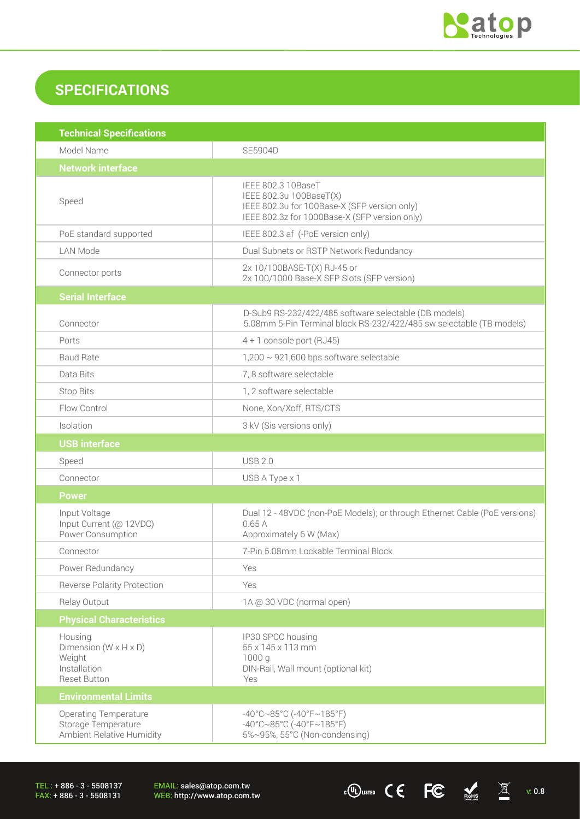

 $\cdot$  (U) LISTED C C FC ROMEs  $\overline{\mathbb{X}}$  v: 0.8

## **SPECIFICATIONS**

| <b>Technical Specifications</b>                                                                 |                                                                                                                                                |  |
|-------------------------------------------------------------------------------------------------|------------------------------------------------------------------------------------------------------------------------------------------------|--|
| Model Name                                                                                      | <b>SE5904D</b>                                                                                                                                 |  |
| <b>Network interface</b>                                                                        |                                                                                                                                                |  |
| Speed                                                                                           | IEEE 802.3 10BaseT<br>IEEE 802.3u 100BaseT(X)<br>IEEE 802.3u for 100Base-X (SFP version only)<br>IEEE 802.3z for 1000Base-X (SFP version only) |  |
| PoE standard supported                                                                          | IEEE 802.3 af (-PoE version only)                                                                                                              |  |
| <b>LAN Mode</b>                                                                                 | Dual Subnets or RSTP Network Redundancy                                                                                                        |  |
| Connector ports                                                                                 | 2x 10/100BASE-T(X) RJ-45 or<br>2x 100/1000 Base-X SFP Slots (SFP version)                                                                      |  |
| <b>Serial Interface</b>                                                                         |                                                                                                                                                |  |
| Connector                                                                                       | D-Sub9 RS-232/422/485 software selectable (DB models)<br>5.08mm 5-Pin Terminal block RS-232/422/485 sw selectable (TB models)                  |  |
| Ports                                                                                           | $4 + 1$ console port (RJ45)                                                                                                                    |  |
| <b>Baud Rate</b>                                                                                | $1,200 \sim 921,600$ bps software selectable                                                                                                   |  |
| Data Bits                                                                                       | 7, 8 software selectable                                                                                                                       |  |
| <b>Stop Bits</b>                                                                                | 1, 2 software selectable                                                                                                                       |  |
| Flow Control                                                                                    | None, Xon/Xoff, RTS/CTS                                                                                                                        |  |
| Isolation                                                                                       | 3 kV (Sis versions only)                                                                                                                       |  |
| <b>USB</b> interface                                                                            |                                                                                                                                                |  |
| Speed                                                                                           | <b>USB 2.0</b>                                                                                                                                 |  |
| Connector                                                                                       | USB A Type x 1                                                                                                                                 |  |
| <b>Power</b>                                                                                    |                                                                                                                                                |  |
| Input Voltage<br>Input Current (@ 12VDC)<br>Power Consumption                                   | Dual 12 - 48VDC (non-PoE Models); or through Ethernet Cable (PoE versions)<br>0.65A<br>Approximately 6 W (Max)                                 |  |
| Connector                                                                                       | 7-Pin 5.08mm Lockable Terminal Block                                                                                                           |  |
| Power Redundancy                                                                                | Yes                                                                                                                                            |  |
| <b>Reverse Polarity Protection</b>                                                              | Yes                                                                                                                                            |  |
| Relay Output                                                                                    | 1A @ 30 VDC (normal open)                                                                                                                      |  |
| <b>Physical Characteristics</b>                                                                 |                                                                                                                                                |  |
| Housing<br>Dimension ( $W \times H \times D$ )<br>Weight<br>Installation<br><b>Reset Button</b> | IP30 SPCC housing<br>55 x 145 x 113 mm<br>1000 g<br>DIN-Rail, Wall mount (optional kit)<br>Yes                                                 |  |
| <b>Environmental Limits</b>                                                                     |                                                                                                                                                |  |
| <b>Operating Temperature</b><br>Storage Temperature<br>Ambient Relative Humidity                | $-40^{\circ}$ C $\sim$ 85°C (-40°F $\sim$ 185°F)<br>$-40^{\circ}$ C $\sim$ 85°C (-40°F $\sim$ 185°F)<br>5%~95%, 55°C (Non-condensing)          |  |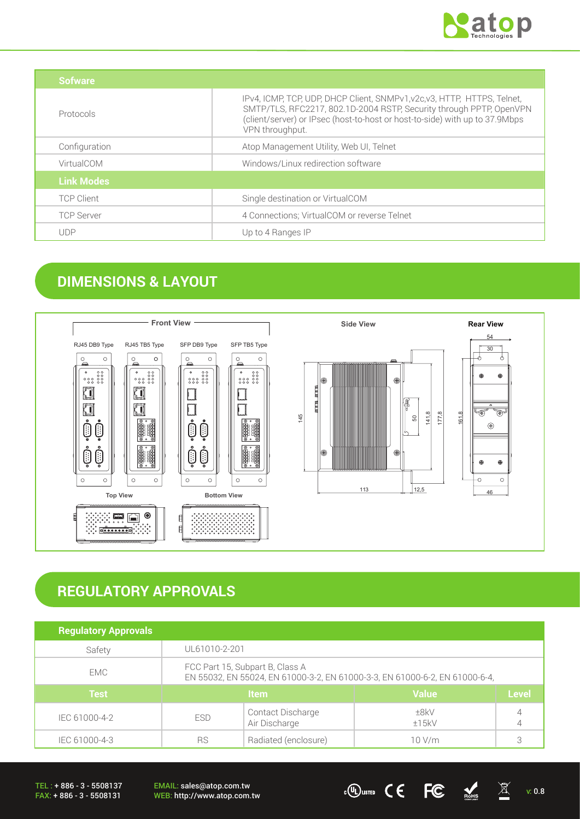

| <b>Sofware</b>    |                                                                                                                                                                                                                                                   |
|-------------------|---------------------------------------------------------------------------------------------------------------------------------------------------------------------------------------------------------------------------------------------------|
| Protocols         | IPv4, ICMP, TCP, UDP, DHCP Client, SNMPv1, v2c, v3, HTTP, HTTPS, Telnet,<br>SMTP/TLS, RFC2217, 802.1D-2004 RSTP, Security through PPTP, OpenVPN<br>(client/server) or IPsec (host-to-host or host-to-side) with up to 37.9Mbps<br>VPN throughput. |
| Configuration     | Atop Management Utility, Web UI, Telnet                                                                                                                                                                                                           |
| VirtualCOM        | Windows/Linux redirection software                                                                                                                                                                                                                |
| <b>Link Modes</b> |                                                                                                                                                                                                                                                   |
| <b>TCP Client</b> | Single destination or VirtualCOM                                                                                                                                                                                                                  |
| <b>TCP Server</b> | 4 Connections; VirtualCOM or reverse Telnet                                                                                                                                                                                                       |
| <b>UDP</b>        | Up to 4 Ranges IP                                                                                                                                                                                                                                 |

## **DIMENSIONS & LAYOUT**



# **REGULATORY APPROVALS**

| <b>Regulatory Approvals</b> |                                                                                                                |                                    |               |              |
|-----------------------------|----------------------------------------------------------------------------------------------------------------|------------------------------------|---------------|--------------|
| Safety                      | UL61010-2-201                                                                                                  |                                    |               |              |
| <b>EMC</b>                  | FCC Part 15, Subpart B, Class A<br>EN 55032, EN 55024, EN 61000-3-2, EN 61000-3-3, EN 61000-6-2, EN 61000-6-4, |                                    |               |              |
| <b>Test</b>                 | <b>Item</b>                                                                                                    |                                    | <b>Value</b>  | <b>Level</b> |
| IEC 61000-4-2               | <b>ESD</b>                                                                                                     | Contact Discharge<br>Air Discharge | ±8kV<br>±15kV |              |
| IEC 61000-4-3               | <b>RS</b>                                                                                                      | Radiated (enclosure)               | 10 V/m        |              |

TEL : + 886 - 3 - 5508137 FAX: + 886 - 3 - 5508131

EMAIL: sales@atop.com.tw EMAIL: sales@atop.com.tw  $\overline{v}$   $\overline{w}$   $\overline{w}$   $\overline{w}$   $\overline{w}$   $\overline{w}$   $\overline{w}$   $\overline{w}$   $\overline{w}$   $\overline{w}$   $\overline{w}$   $\overline{w}$   $\overline{w}$   $\overline{w}$   $\overline{w}$   $\overline{w}$   $\overline{w}$   $\overline{w}$   $\overline{w}$   $\overline{w}$   $\overline{w}$   $\overline{w}$